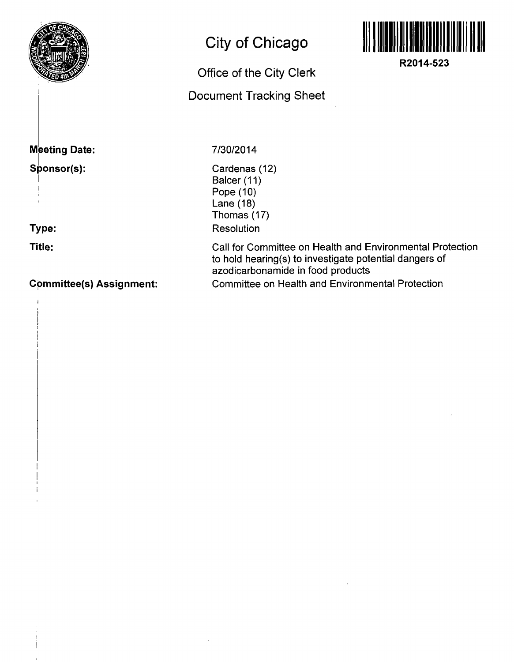

## **Meeting Date:**

### **Sponsor(s):**

**Type:** 

**Title:** 

#### **C9mmittee(s) Assignment:**

# **City of Chicago**

# **Office of the City Clerk**

**Document Tracking Sheet** 



**R2014-523** 

#### **7/30/2014**

Cardenas (12) Balcer (11) Pope (10) Lane (18) Thomas (17) Resolution

Call for Committee on Health and Environmental Protection to hold hearing(s) to investigate potential dangers of azodicarbonamide in food products Committee on Health and Environmental Protection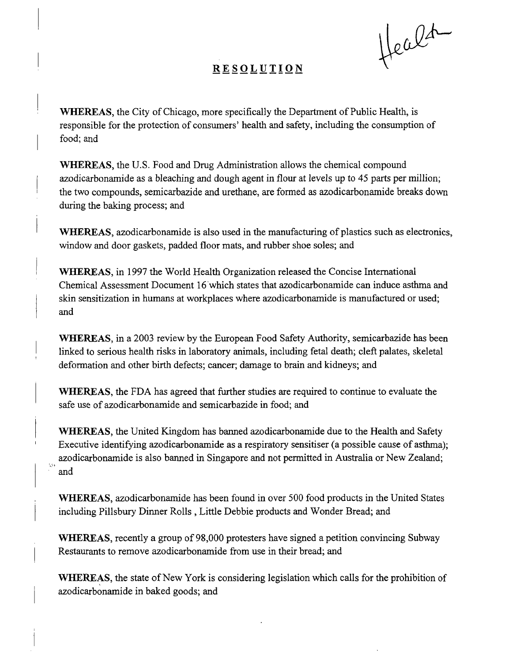Healt

### **RESOLUTIO N**

WHEREAS, the City of Chicago, more specifically the Department of Public Health, is responsible for the protection of consumers' health and safety, including the consumption of food; and

WHEREAS, the U.S. Food and Drug Administration allows the chemical compound azodicarbonamide as a bleaching and dough agent in flour at levels up to 45 parts per million; the two compounds, semicarbazide and urethane, are formed as azodicarbonamide breaks down during the baking process; and

WHEREAS, azodicarbonamide is also used in the manufacturing of plastics such as electronics, window and door gaskets, padded floor mats, and rubber shoe soles; and

WHEREAS, in 1997 the World Health Organization released the Concise International Chemical Assessment Document 16 which states that azodicarbonamide can induce asthma and skin sensitization in humans at workplaces where azodicarbonamide is manufactured or used; and

WHEREAS, in a 2003 review by the European Food Safety Authority, semicarbazide has been linked to serious health risks in laboratory animals, including fetal death; cleft palates, skeletal deformation and other birth defects; cancer; damage to brain and kidneys; and

WHEREAS, the FDA has agreed that further studies are required to continue to evaluate the safe use of azodicarbonamide and semicarbazide in food; and

WHEREAS, the United Kingdom has banned azodicarbonamide due to the Health and Safety Executive identifying azodicarbonamide as a respiratory sensitiser (a possible cause of asthma); azodicarbonamide is also banned in Singapore and not permitted in Australia or New Zealand; and

ίþ,

WHEREAS, azodicarbonamide has been found in over 500 food products in the United States including Pillsbury Dinner Rolls , Little Debbie products and Wonder Bread; and

WHEREAS, recently a group of 98,000 protesters have signed a petition convincing Subway Restaurants to remove azodicarbonamide from use in their bread; and

WHEREAS, the state of New York is considering legislation which calls for the prohibition of azodicarbonamide in baked goods; and